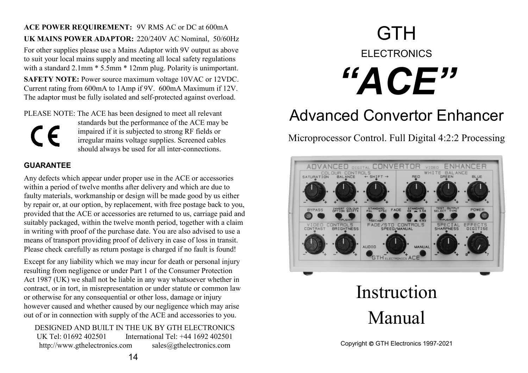**ACE POWER REQUIREMENT:** 9V RMS AC or DC at 600mA **UK MAINS POWER ADAPTOR:** 220/240V AC Nominal, 50/60Hz For other supplies please use a Mains Adaptor with 9V output as above to suit your local mains supply and meeting all local safety regulations with a standard 2.1mm  $*$  5.5mm  $*$  12mm plug. Polarity is unimportant. **SAFETY NOTE:** Power source maximum voltage 10VAC or 12VDC. Current rating from 600mA to 1Amp if 9V. 600mA Maximum if 12V. The adaptor must be fully isolated and self-protected against overload.

PLEASE NOTE: The ACE has been designed to meet all relevant



 standards but the performance of the ACE may be impaired if it is subjected to strong RF fields or irregular mains voltage supplies. Screened cables should always be used for all inter-connections.

#### **GUARANTEE**

Any defects which appear under proper use in the ACE or accessories within a period of twelve months after delivery and which are due to faulty materials, workmanship or design will be made good by us either by repair or, at our option, by replacement, with free postage back to you, provided that the ACE or accessories are returned to us, carriage paid and suitably packaged, within the twelve month period, together with a claim in writing with proof of the purchase date. You are also advised to use a means of transport providing proof of delivery in case of loss in transit. Please check carefully as return postage is charged if no fault is found!

Except for any liability which we may incur for death or personal injury resulting from negligence or under Part 1 of the Consumer Protection Act 1987 (UK) we shall not be liable in any way whatsoever whether in contract, or in tort, in misrepresentation or under statute or common law or otherwise for any consequential or other loss, damage or injury however caused and whether caused by our negligence which may arise out of or in connection with supply of the ACE and accessories to you.

DESIGNED AND BUILT IN THE UK BY GTH ELECTRONICS UK Tel: 01692 402501 International Tel: +44 1692 402501 http://www.gthelectronics.com sales@gthelectronics.com

# **GTH** ELECTRONICS *"ACE"*

## Advanced Convertor Enhancer

Microprocessor Control. Full Digital 4:2:2 Processing



## Instruction Manual

Copyright GTH Electronics 1997-2021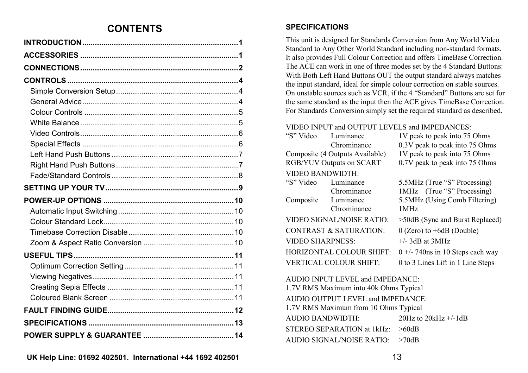## **CONTENTS**

This unit is designed for Standards Conversion from Any World Video Standard to Any Other World Standard including non-standard formats. It also provides Full Colour Correction and offers TimeBase Correction. The ACE can work in one of three modes set by the 4 Standard Buttons: With Both Left Hand Buttons OUT the output standard always matches the input standard, ideal for simple colour correction on stable sources. On unstable sources such as VCR, if the 4 "Standard" Buttons are set for the same standard as the input then the ACE gives TimeBase Correction. For Standards Conversion simply set the required standard as described.

#### VIDEO INPUT and OUTPUT LEVELS and IMPEDANCES:

| "S" Video                        | Luminance<br>Chrominance          | 1V peak to peak into 75 Ohms<br>0.3V peak to peak into 75 Ohms |  |  |  |  |
|----------------------------------|-----------------------------------|----------------------------------------------------------------|--|--|--|--|
| Composite (4 Outputs Available)  |                                   | 1V peak to peak into 75 Ohms                                   |  |  |  |  |
| RGB/YUV Outputs on SCART         |                                   | 0.7V peak to peak into 75 Ohms                                 |  |  |  |  |
| <b>VIDEO BANDWIDTH:</b>          |                                   |                                                                |  |  |  |  |
| "S" Video                        | Luminance                         | 5.5MHz (True "S" Processing)                                   |  |  |  |  |
|                                  | Chrominance                       | 1MHz (True "S" Processing)                                     |  |  |  |  |
| Composite Luminance              |                                   | 5.5MHz (Using Comb Filtering)                                  |  |  |  |  |
|                                  | Chrominance                       | 1MHz                                                           |  |  |  |  |
|                                  | <b>VIDEO SIGNAL/NOISE RATIO:</b>  | >50dB (Sync and Burst Replaced)                                |  |  |  |  |
|                                  | <b>CONTRAST &amp; SATURATION:</b> | $0$ (Zero) to +6dB (Double)                                    |  |  |  |  |
| <b>VIDEO SHARPNESS:</b>          |                                   | $+/-$ 3dB at 3MHz                                              |  |  |  |  |
|                                  | HORIZONTAL COLOUR SHIFT:          | $0 +$ - 740ns in 10 Steps each way                             |  |  |  |  |
|                                  | <b>VERTICAL COLOUR SHIFT:</b>     | 0 to 3 Lines Lift in 1 Line Steps                              |  |  |  |  |
| AUDIO INPUT LEVEL and IMPEDANCE: |                                   |                                                                |  |  |  |  |

 1.7V RMS Maximum into 40k Ohms Typical AUDIO OUTPUT LEVEL and IMPEDANCE: 1.7V RMS Maximum from 10 Ohms Typical AUDIO BANDWIDTH: 20Hz to 20kHz +/-1dB STEREO SEPARATION at 1kHz: >60dB AUDIO SIGNAL/NOISE RATIO: >70dB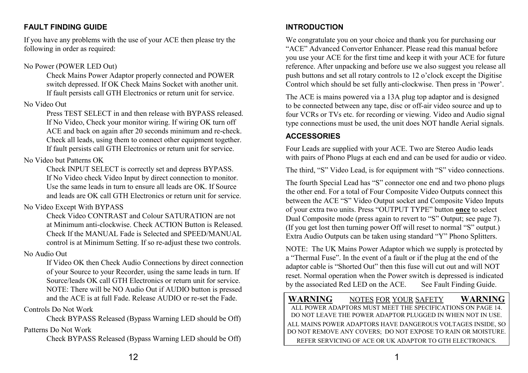## **FAULT FINDING GUIDE**

If you have any problems with the use of your ACE then please try the following in order as required:

#### No Power (POWER LED Out)

 Check Mains Power Adaptor properly connected and POWER switch depressed. If OK Check Mains Socket with another unit. If fault persists call GTH Electronics or return unit for service.

#### No Video Out

 Press TEST SELECT in and then release with BYPASS released. If No Video, Check your monitor wiring. If wiring OK turn off ACE and back on again after 20 seconds minimum and re-check. Check all leads, using them to connect other equipment together. If fault persists call GTH Electronics or return unit for service.

## No Video but Patterns OK

 Check INPUT SELECT is correctly set and depress BYPASS. If No Video check Video Input by direct connection to monitor. Use the same leads in turn to ensure all leads are OK. If Source and leads are OK call GTH Electronics or return unit for service.

## No Video Except With BYPASS

 Check Video CONTRAST and Colour SATURATION are not at Minimum anti-clockwise. Check ACTION Button is Released. Check If the MANUAL Fade is Selected and SPEED/MANUAL control is at Minimum Setting. If so re-adjust these two controls.

## No Audio Out

 If Video OK then Check Audio Connections by direct connection of your Source to your Recorder, using the same leads in turn. If Source/leads OK call GTH Electronics or return unit for service. NOTE: There will be NO Audio Out if AUDIO button is pressed and the ACE is at full Fade. Release AUDIO or re-set the Fade.

## Controls Do Not Work

Check BYPASS Released (Bypass Warning LED should be Off)

### Patterns Do Not Work

Check BYPASS Released (Bypass Warning LED should be Off)

## **INTRODUCTION**

We congratulate you on your choice and thank you for purchasing our "ACE" Advanced Convertor Enhancer. Please read this manual before you use your ACE for the first time and keep it with your ACE for future reference. After unpacking and before use we also suggest you release all push buttons and set all rotary controls to 12 o'clock except the Digitise Control which should be set fully anti-clockwise. Then press in 'Power'.

The ACE is mains powered via a 13A plug top adaptor and is designed to be connected between any tape, disc or off-air video source and up to four VCRs or TVs etc. for recording or viewing. Video and Audio signal type connections must be used, the unit does NOT handle Aerial signals.

## **ACCESSORIES**

Four Leads are supplied with your ACE. Two are Stereo Audio leads with pairs of Phono Plugs at each end and can be used for audio or video.

The third, "S" Video Lead, is for equipment with "S" video connections.

The fourth Special Lead has "S" connector one end and two phono plugs the other end. For a total of Four Composite Video Outputs connect this between the ACE "S" Video Output socket and Composite Video Inputs of your extra two units. Press "OUTPUT TYPE" button **once** to select Dual Composite mode (press again to revert to "S" Output; see page 7). (If you get lost then turning power Off will reset to normal "S" output.) Extra Audio Outputs can be taken using standard "Y" Phono Splitters.

NOTE: The UK Mains Power Adaptor which we supply is protected by a "Thermal Fuse". In the event of a fault or if the plug at the end of the adaptor cable is "Shorted Out" then this fuse will cut out and will NOT reset. Normal operation when the Power switch is depressed is indicated by the associated Red LED on the ACE. See Fault Finding Guide.

#### **WARNING** NOTES FOR YOUR SAFETY **WARNING** ALL POWER ADAPTORS MUST MEET THE SPECIFICATIONS ON PAGE 14. DO NOT LEAVE THE POWER ADAPTOR PLUGGED IN WHEN NOT IN USE. ALL MAINS POWER ADAPTORS HAVE DANGEROUS VOLTAGES INSIDE, SO DO NOT REMOVE ANY COVERS; DO NOT EXPOSE TO RAIN OR MOISTURE. REFER SERVICING OF ACE OR UK ADAPTOR TO GTH ELECTRONICS.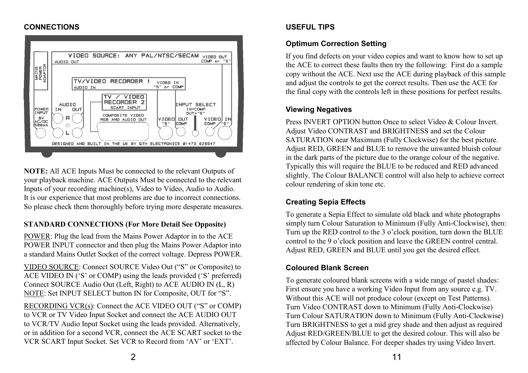### **CONNECTIONS**



**NOTE:** All ACE Inputs Must be connected to the relevant Outputs of your playback machine. ACE Outputs Must be connected to the relevant Inputs of your recording machine(s), Video to Video, Audio to Audio. It is our experience that most problems are due to incorrect connections. So please check them thoroughly before trying more desperate measures.

## **STANDARD CONNECTIONS (For More Detail See Opposite)**

POWER: Plug the lead from the Mains Power Adaptor in to the ACE POWER INPUT connector and then plug the Mains Power Adaptor into a standard Mains Outlet Socket of the correct voltage. Depress POWER.

VIDEO SOURCE: Connect SOURCE Video Out ("S" or Composite) to ACE VIDEO IN ('S' or COMP) using the leads provided ('S' preferred) Connect SOURCE Audio Out (Left, Right) to ACE AUDIO IN (L, R) NOTE: Set INPUT SELECT button IN for Composite, OUT for "S".

RECORDING VCR(s): Connect the ACE VIDEO OUT ("S" or COMP) to VCR or TV Video Input Socket and connect the ACE AUDIO OUT to VCR/TV Audio Input Socket using the leads provided. Alternatively, or in addition for a second VCR, connect the ACE SCART socket to the VCR SCART Input Socket. Set VCR to Record from 'AV' or 'EXT'.

## **USEFUL TIPS**

## **Optimum Correction Setting**

If you find defects on your video copies and want to know how to set up the ACE to correct these faults then try the following: First do a sample copy without the ACE. Next use the ACE during playback of this sample and adjust the controls to get the correct results. Then use the ACE for the final copy with the controls left in these positions for perfect results.

### **Viewing Negatives**

Press INVERT OPTION button Once to select Video & Colour Invert. Adjust Video CONTRAST and BRIGHTNESS and set the Colour SATURATION near Maximum (Fully Clockwise) for the best picture. Adjust RED, GREEN and BLUE to remove the unwanted bluish colour in the dark parts of the picture due to the orange colour of the negative. Typically this will require the BLUE to be reduced and RED advanced slightly. The Colour BALANCE control will also help to achieve correct colour rendering of skin tone etc.

## **Creating Sepia Effects**

To generate a Sepia Effect to simulate old black and white photographs simply turn Colour Saturation to Minimum (Fully Anti-Clockwise), then: Turn up the RED control to the 3 o'clock position, turn down the BLUE control to the 9 o'clock position and leave the GREEN control central. Adjust RED, GREEN and BLUE until you get the desired effect.

## **Coloured Blank Screen**

To generate coloured blank screens with a wide range of pastel shades: First ensure you have a working Video Input from any source e.g. TV. Without this ACE will not produce colour (except on Test Patterns). Turn Video CONTRAST down to Minimum (Fully Anti-Clockwise) Turn Colour SATURATION down to Minimum (Fully Anti-Clockwise) Turn BRIGHTNESS to get a mid grey shade and then adjust as required Adjust RED/GREEN/BLUE to get the desired colour. This will also be affected by Colour Balance. For deeper shades try using Video Invert.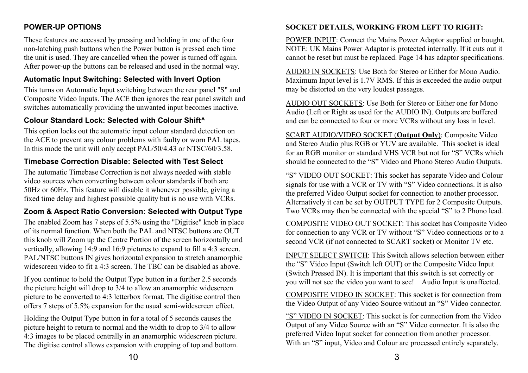## **POWER-UP OPTIONS**

These features are accessed by pressing and holding in one of the four non-latching push buttons when the Power button is pressed each time the unit is used. They are cancelled when the power is turned off again. After power-up the buttons can be released and used in the normal way.

### **Automatic Input Switching: Selected with Invert Option**

This turns on Automatic Input switching between the rear panel "S" and Composite Video Inputs. The ACE then ignores the rear panel switch and switches automatically providing the unwanted input becomes inactive.

### **Colour Standard Lock: Selected with Colour Shift^**

This option locks out the automatic input colour standard detection on the ACE to prevent any colour problems with faulty or worn PAL tapes. In this mode the unit will only accept PAL/50/4.43 or NTSC/60/3.58.

## **Timebase Correction Disable: Selected with Test Select**

The automatic Timebase Correction is not always needed with stable video sources when converting between colour standards if both are 50Hz or 60Hz. This feature will disable it whenever possible, giving a fixed time delay and highest possible quality but is no use with VCRs.

## **Zoom & Aspect Ratio Conversion: Selected with Output Type**

The enabled Zoom has 7 steps of 5.5% using the "Digitise" knob in place of its normal function. When both the PAL and NTSC buttons are OUT this knob will Zoom up the Centre Portion of the screen horizontally and vertically, allowing 14:9 and 16:9 pictures to expand to fill a 4:3 screen. PAL/NTSC buttons IN gives horizontal expansion to stretch anamorphic widescreen video to fit a 4:3 screen. The TBC can be disabled as above.

If you continue to hold the Output Type button in a further 2.5 seconds the picture height will drop to 3/4 to allow an anamorphic widescreen picture to be converted to 4:3 letterbox format. The digitise control then offers 7 steps of 5.5% expansion for the usual semi-widescreen effect.

Holding the Output Type button in for a total of 5 seconds causes the picture height to return to normal and the width to drop to 3/4 to allow 4:3 images to be placed centrally in an anamorphic widescreen picture. The digitise control allows expansion with cropping of top and bottom.

### **SOCKET DETAILS, WORKING FROM LEFT TO RIGHT:**

POWER INPUT: Connect the Mains Power Adaptor supplied or bought. NOTE: UK Mains Power Adaptor is protected internally. If it cuts out it cannot be reset but must be replaced. Page 14 has adaptor specifications.

AUDIO IN SOCKETS: Use Both for Stereo or Either for Mono Audio. Maximum Input level is 1.7V RMS. If this is exceeded the audio output may be distorted on the very loudest passages.

AUDIO OUT SOCKETS: Use Both for Stereo or Either one for Mono Audio (Left or Right as used for the AUDIO IN). Outputs are buffered and can be connected to four or more VCRs without any loss in level.

SCART AUDIO/VIDEO SOCKET (**Output Only**): Composite Video and Stereo Audio plus RGB or YUV are available. This socket is ideal for an RGB monitor or standard VHS VCR but not for "S" VCRs which should be connected to the "S" Video and Phono Stereo Audio Outputs.

"S" VIDEO OUT SOCKET: This socket has separate Video and Colour signals for use with a VCR or TV with "S" Video connections. It is also the preferred Video Output socket for connection to another processor. Alternatively it can be set by OUTPUT TYPE for 2 Composite Outputs. Two VCRs may then be connected with the special "S" to 2 Phono lead.

COMPOSITE VIDEO OUT SOCKET: This socket has Composite Video for connection to any VCR or TV without "S" Video connections or to a second VCR (if not connected to SCART socket) or Monitor TV etc.

INPUT SELECT SWITCH: This Switch allows selection between either the "S" Video Input (Switch left OUT) or the Composite Video Input (Switch Pressed IN). It is important that this switch is set correctly or you will not see the video you want to see! Audio Input is unaffected.

COMPOSITE VIDEO IN SOCKET: This socket is for connection from the Video Output of any Video Source without an "S" Video connector.

"S" VIDEO IN SOCKET: This socket is for connection from the Video Output of any Video Source with an "S" Video connector. It is also the preferred Video Input socket for connection from another processor. With an "S" input, Video and Colour are processed entirely separately.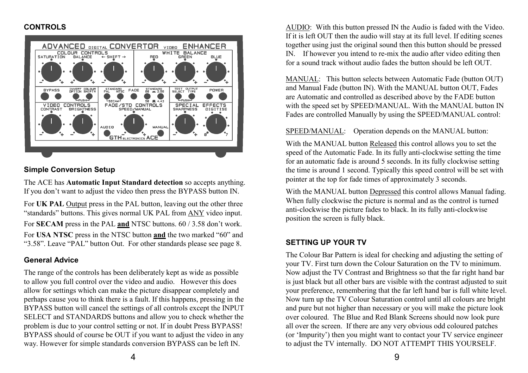#### **CONTROLS**



#### **Simple Conversion Setup**

The ACE has **Automatic Input Standard detection** so accepts anything. If you don't want to adjust the video then press the BYPASS button IN.

For **UK PAL** Output press in the PAL button, leaving out the other three "standards" buttons. This gives normal UK PAL from ANY video input. For **SECAM** press in the PAL **and** NTSC buttons. 60 / 3.58 don't work. For **USA NTSC** press in the NTSC button **and** the two marked "60" and "3.58". Leave "PAL" button Out. For other standards please see page 8.

#### **General Advice**

The range of the controls has been deliberately kept as wide as possible to allow you full control over the video and audio. However this does allow for settings which can make the picture disappear completely and perhaps cause you to think there is a fault. If this happens, pressing in the BYPASS button will cancel the settings of all controls except the INPUT SELECT and STANDARDS buttons and allow you to check whether the problem is due to your control setting or not. If in doubt Press BYPASS! BYPASS should of course be OUT if you want to adjust the video in any way. However for simple standards conversion BYPASS can be left IN.

AUDIO: With this button pressed IN the Audio is faded with the Video. If it is left OUT then the audio will stay at its full level. If editing scenes together using just the original sound then this button should be pressed IN. If however you intend to re-mix the audio after video editing then for a sound track without audio fades the button should be left OUT.

MANUAL: This button selects between Automatic Fade (button OUT) and Manual Fade (button IN). With the MANUAL button OUT, Fades are Automatic and controlled as described above by the FADE button with the speed set by SPEED/MANUAL. With the MANUAL button IN Fades are controlled Manually by using the SPEED/MANUAL control:

#### SPEED/MANUAL: Operation depends on the MANUAL button:

With the MANUAL button Released this control allows you to set the speed of the Automatic Fade. In its fully anti-clockwise setting the time for an automatic fade is around 5 seconds. In its fully clockwise setting the time is around 1 second. Typically this speed control will be set with pointer at the top for fade times of approximately 3 seconds.

With the MANUAL button Depressed this control allows Manual fading. When fully clockwise the picture is normal and as the control is turned anti-clockwise the picture fades to black. In its fully anti-clockwise position the screen is fully black.

### **SETTING UP YOUR TV**

The Colour Bar Pattern is ideal for checking and adjusting the setting of your TV. First turn down the Colour Saturation on the TV to minimum. Now adjust the TV Contrast and Brightness so that the far right hand bar is just black but all other bars are visible with the contrast adjusted to suit your preference, remembering that the far left hand bar is full white level. Now turn up the TV Colour Saturation control until all colours are bright and pure but not higher than necessary or you will make the picture look over coloured. The Blue and Red Blank Screens should now look pure all over the screen. If there are any very obvious odd coloured patches (or 'Impurity') then you might want to contact your TV service engineer to adjust the TV internally. DO NOT ATTEMPT THIS YOURSELF.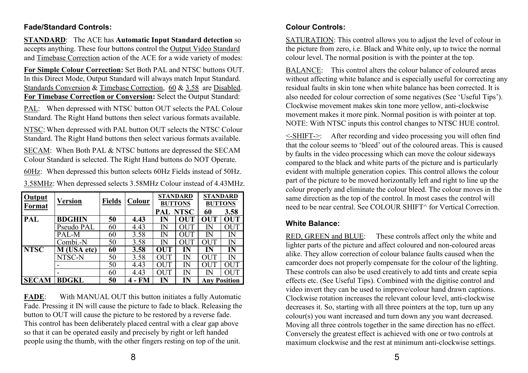#### **Fade/Standard Controls:**

**STANDARD**: The ACE has **Automatic Input Standard detection** so accepts anything. These four buttons control the Output Video Standard and Timebase Correction action of the ACE for a wide variety of modes:

**For Simple Colour Correction:** Set Both PAL and NTSC buttons OUT. In this Direct Mode, Output Standard will always match Input Standard. Standards Conversion & Timebase Correction, 60 & 3.58 are Disabled. **For Timebase Correction or Conversion:** Select the Output Standard:

PAL: When depressed with NTSC button OUT selects the PAL Colour Standard. The Right Hand buttons then select various formats available.

NTSC: When depressed with PAL button OUT selects the NTSC Colour Standard. The Right Hand buttons then select various formats available.

SECAM: When Both PAL & NTSC buttons are depressed the SECAM Colour Standard is selected. The Right Hand buttons do NOT Operate.

60Hz: When depressed this button selects 60Hz Fields instead of 50Hz.

3.58MHz: When depressed selects 3.58MHz Colour instead of 4.43MHz.

| Output<br>Format | Version       | <b>Fields</b> | Colour | <b>STANDARD</b><br><b>BUTTONS</b> |             | <b>STANDARD</b><br><b>BUTTONS</b> |            |
|------------------|---------------|---------------|--------|-----------------------------------|-------------|-----------------------------------|------------|
|                  |               |               |        | <b>PAL NTSC</b>                   |             | 60                                | 3.58       |
| PAL              | <b>BDGHIN</b> | 50            | 4.43   | IN                                | OUT         | <b>OUT</b>                        | <b>OUT</b> |
|                  | Pseudo PAL    | 60            | 4.43   | $\mathbb N$                       | $\Omega$ IT | IN                                | OUT        |
|                  | PAL-M         | 60            | 3.58   | $\mathbb N$                       | OUT         | $\rm I\!N$                        | IN         |
|                  | Combi.-N      | 50            | 3.58   | IN                                | <b>OUT</b>  | OUT                               | IN         |
| <b>NTSC</b>      | M (USA etc)   | 60            | 3.58   | OUT                               | IN          | IN                                | IN         |
|                  | NTSC-N        | 50            | 3.58   | OUT                               | IN          | OUT                               | IN         |
|                  |               | 50            | 4.43   | OUT                               | IN          | <b>OUT</b>                        | OUT        |
|                  | -             | 60            | 4.43   | OUT                               | ${\rm IN}$  | ΙN                                | OUT        |
| <b>SECAM</b>     | <b>BDGKL</b>  | 50            | FM     | ${\rm IN}$                        | IN          | <b>Any Position</b>               |            |
|                  |               |               |        |                                   |             |                                   |            |

**FADE**: With MANUAL OUT this button initiates a fully Automatic Fade. Pressing it IN will cause the picture to fade to black. Releasing the button to OUT will cause the picture to be restored by a reverse fade. This control has been deliberately placed central with a clear gap above so that it can be operated easily and precisely by right or left handed people using the thumb, with the other fingers resting on top of the unit.

SATURATION: This control allows you to adjust the level of colour in the picture from zero, i.e. Black and White only, up to twice the normal colour level. The normal position is with the pointer at the top.

BALANCE: This control alters the colour balance of coloured areas without affecting white balance and is especially useful for correcting any residual faults in skin tone when white balance has been corrected. It is also needed for colour correction of some negatives (See 'Useful Tips'). Clockwise movement makes skin tone more yellow, anti-clockwise movement makes it more pink. Normal position is with pointer at top. NOTE: With NTSC inputs this control changes to NTSC HUE control.

<-SHIFT->: After recording and video processing you will often find that the colour seems to 'bleed' out of the coloured areas. This is caused by faults in the video processing which can move the colour sideways compared to the black and white parts of the picture and is particularly evident with multiple generation copies. This control allows the colour part of the picture to be moved horizontally left and right to line up the colour properly and eliminate the colour bleed. The colour moves in the same direction as the top of the control. In most cases the control will need to be near central. See COLOUR SHIFT^ for Vertical Correction.

## **White Balance:**

RED, GREEN and BLUE: These controls affect only the white and lighter parts of the picture and affect coloured and non-coloured areas alike. They allow correction of colour balance faults caused when the camcorder does not properly compensate for the colour of the lighting. These controls can also be used creatively to add tints and create sepia effects etc. (See Useful Tips). Combined with the digitise control and video invert they can be used to improve/colour hand drawn captions. Clockwise rotation increases the relevant colour level, anti-clockwise decreases it. So, starting with all three pointers at the top, turn up any colour(s) you want increased and turn down any you want decreased. Moving all three controls together in the same direction has no effect. Conversely the greatest effect is achieved with one or two controls at maximum clockwise and the rest at minimum anti-clockwise settings.